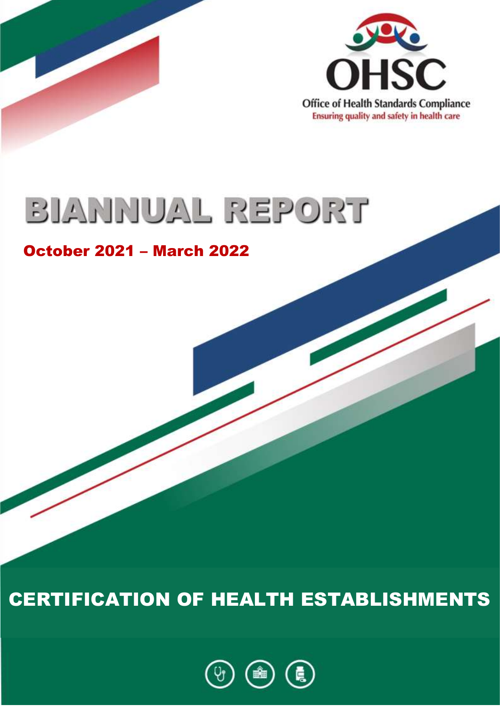

# BIANNUAL REPORT

## October 2021 – March 2022

CERTIFICATION OF HEALTH ESTABLISHMENTS

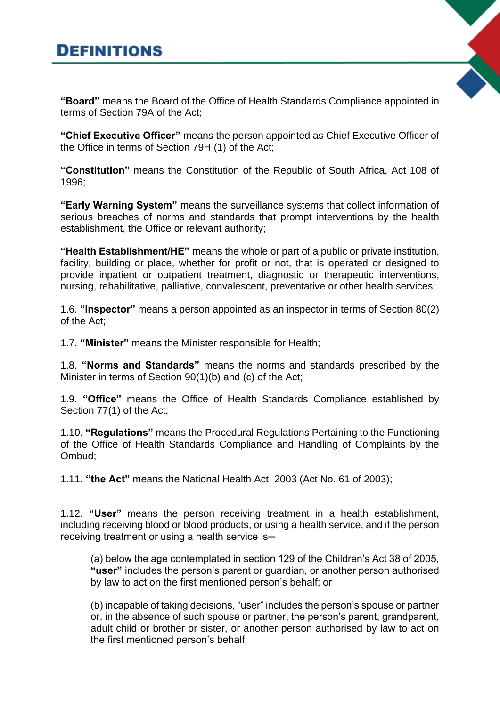### **DEFINITIONS**

**"Board"** means the Board of the Office of Health Standards Compliance appointed in terms of Section 79A of the Act;

**"Chief Executive Officer"** means the person appointed as Chief Executive Officer of the Office in terms of Section 79H (1) of the Act;

**"Constitution"** means the Constitution of the Republic of South Africa, Act 108 of 1996;

**"Early Warning System"** means the surveillance systems that collect information of serious breaches of norms and standards that prompt interventions by the health establishment, the Office or relevant authority;

**"Health Establishment/HE"** means the whole or part of a public or private institution, facility, building or place, whether for profit or not, that is operated or designed to provide inpatient or outpatient treatment, diagnostic or therapeutic interventions, nursing, rehabilitative, palliative, convalescent, preventative or other health services;

1.6. **"Inspector"** means a person appointed as an inspector in terms of Section 80(2) of the Act;

1.7. **"Minister"** means the Minister responsible for Health;

1.8. **"Norms and Standards"** means the norms and standards prescribed by the Minister in terms of Section 90(1)(b) and (c) of the Act;

1.9. **"Office"** means the Office of Health Standards Compliance established by Section 77(1) of the Act;

1.10. **"Regulations"** means the Procedural Regulations Pertaining to the Functioning of the Office of Health Standards Compliance and Handling of Complaints by the Ombud;

1.11. **"the Act"** means the National Health Act, 2003 (Act No. 61 of 2003);

1.12. **"User"** means the person receiving treatment in a health establishment, including receiving blood or blood products, or using a health service, and if the person receiving treatment or using a health service is-

(a) below the age contemplated in section 129 of the Children's Act 38 of 2005, **"user"** includes the person's parent or guardian, or another person authorised by law to act on the first mentioned person's behalf; or

(b) incapable of taking decisions, "user" includes the person's spouse or partner or, in the absence of such spouse or partner, the person's parent, grandparent, adult child or brother or sister, or another person authorised by law to act on the first mentioned person's behalf.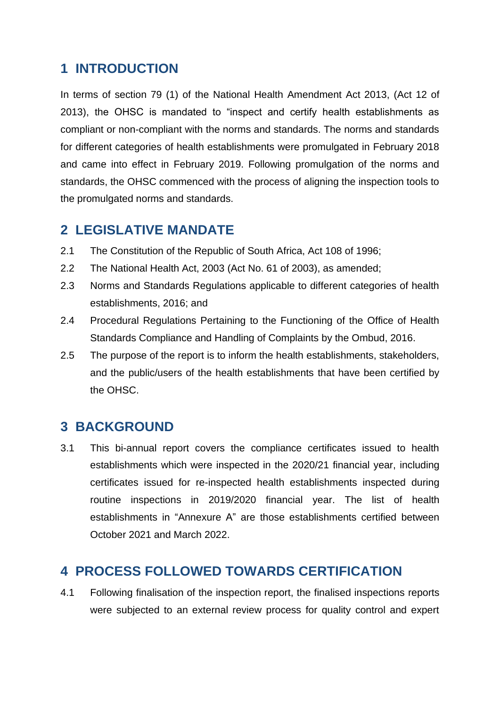#### **1 INTRODUCTION**

In terms of section 79 (1) of the National Health Amendment Act 2013, (Act 12 of 2013), the OHSC is mandated to "inspect and certify health establishments as compliant or non-compliant with the norms and standards. The norms and standards for different categories of health establishments were promulgated in February 2018 and came into effect in February 2019. Following promulgation of the norms and standards, the OHSC commenced with the process of aligning the inspection tools to the promulgated norms and standards.

#### **2 LEGISLATIVE MANDATE**

- 2.1 The Constitution of the Republic of South Africa, Act 108 of 1996;
- 2.2 The National Health Act, 2003 (Act No. 61 of 2003), as amended;
- 2.3 Norms and Standards Regulations applicable to different categories of health establishments, 2016; and
- 2.4 Procedural Regulations Pertaining to the Functioning of the Office of Health Standards Compliance and Handling of Complaints by the Ombud, 2016.
- 2.5 The purpose of the report is to inform the health establishments, stakeholders, and the public/users of the health establishments that have been certified by the OHSC.

#### **3 BACKGROUND**

3.1 This bi-annual report covers the compliance certificates issued to health establishments which were inspected in the 2020/21 financial year, including certificates issued for re-inspected health establishments inspected during routine inspections in 2019/2020 financial year. The list of health establishments in "Annexure A" are those establishments certified between October 2021 and March 2022.

#### **4 PROCESS FOLLOWED TOWARDS CERTIFICATION**

4.1 Following finalisation of the inspection report, the finalised inspections reports were subjected to an external review process for quality control and expert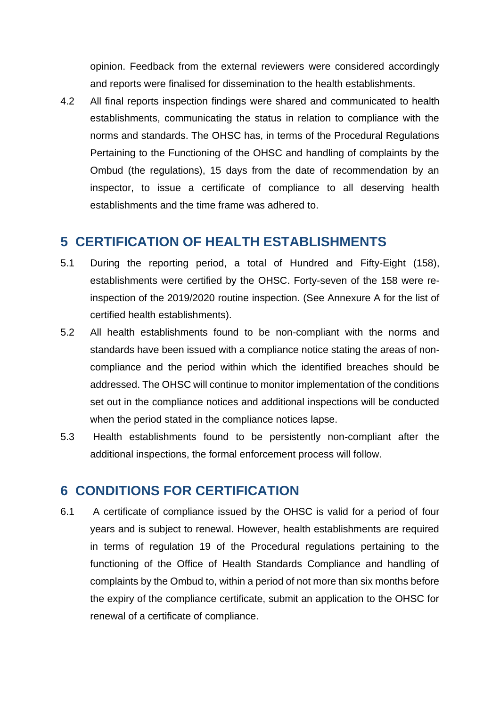opinion. Feedback from the external reviewers were considered accordingly and reports were finalised for dissemination to the health establishments.

4.2 All final reports inspection findings were shared and communicated to health establishments, communicating the status in relation to compliance with the norms and standards. The OHSC has, in terms of the Procedural Regulations Pertaining to the Functioning of the OHSC and handling of complaints by the Ombud (the regulations), 15 days from the date of recommendation by an inspector, to issue a certificate of compliance to all deserving health establishments and the time frame was adhered to.

#### **5 CERTIFICATION OF HEALTH ESTABLISHMENTS**

- 5.1 During the reporting period, a total of Hundred and Fifty-Eight (158), establishments were certified by the OHSC. Forty-seven of the 158 were reinspection of the 2019/2020 routine inspection. (See Annexure A for the list of certified health establishments).
- 5.2 All health establishments found to be non-compliant with the norms and standards have been issued with a compliance notice stating the areas of noncompliance and the period within which the identified breaches should be addressed. The OHSC will continue to monitor implementation of the conditions set out in the compliance notices and additional inspections will be conducted when the period stated in the compliance notices lapse.
- 5.3 Health establishments found to be persistently non-compliant after the additional inspections, the formal enforcement process will follow.

#### **6 CONDITIONS FOR CERTIFICATION**

6.1 A certificate of compliance issued by the OHSC is valid for a period of four years and is subject to renewal. However, health establishments are required in terms of regulation 19 of the Procedural regulations pertaining to the functioning of the Office of Health Standards Compliance and handling of complaints by the Ombud to, within a period of not more than six months before the expiry of the compliance certificate, submit an application to the OHSC for renewal of a certificate of compliance.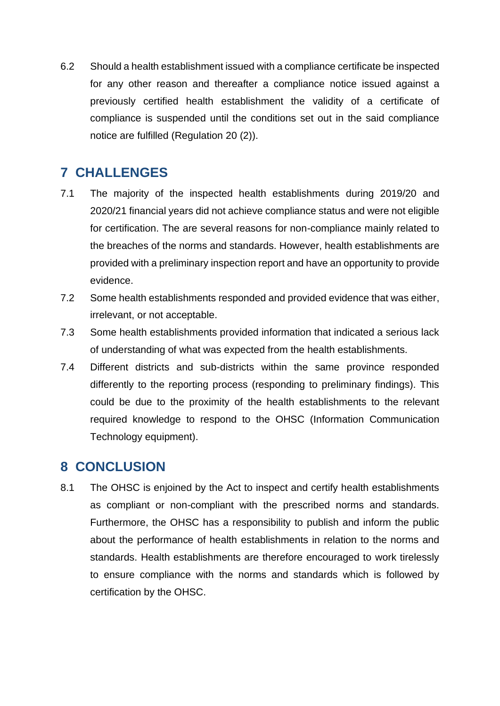6.2 Should a health establishment issued with a compliance certificate be inspected for any other reason and thereafter a compliance notice issued against a previously certified health establishment the validity of a certificate of compliance is suspended until the conditions set out in the said compliance notice are fulfilled (Regulation 20 (2)).

#### **7 CHALLENGES**

- 7.1 The majority of the inspected health establishments during 2019/20 and 2020/21 financial years did not achieve compliance status and were not eligible for certification. The are several reasons for non-compliance mainly related to the breaches of the norms and standards. However, health establishments are provided with a preliminary inspection report and have an opportunity to provide evidence.
- 7.2 Some health establishments responded and provided evidence that was either, irrelevant, or not acceptable.
- 7.3 Some health establishments provided information that indicated a serious lack of understanding of what was expected from the health establishments.
- 7.4 Different districts and sub-districts within the same province responded differently to the reporting process (responding to preliminary findings). This could be due to the proximity of the health establishments to the relevant required knowledge to respond to the OHSC (Information Communication Technology equipment).

#### **8 CONCLUSION**

8.1 The OHSC is enjoined by the Act to inspect and certify health establishments as compliant or non-compliant with the prescribed norms and standards. Furthermore, the OHSC has a responsibility to publish and inform the public about the performance of health establishments in relation to the norms and standards. Health establishments are therefore encouraged to work tirelessly to ensure compliance with the norms and standards which is followed by certification by the OHSC.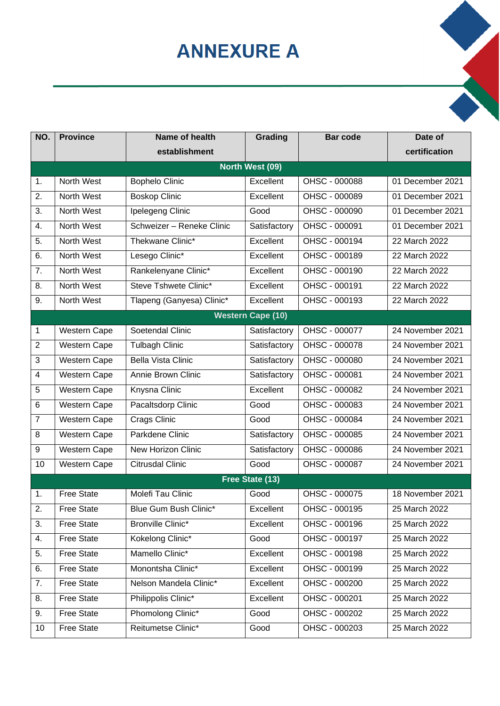# **ANNEXURE A**

| NO.                     | <b>Province</b>     | Name of health            | Grading                  | <b>Bar code</b> | Date of          |
|-------------------------|---------------------|---------------------------|--------------------------|-----------------|------------------|
|                         |                     | establishment             |                          |                 | certification    |
|                         |                     |                           | North West (09)          |                 |                  |
| 1.                      | North West          | <b>Bophelo Clinic</b>     | Excellent                | OHSC - 000088   | 01 December 2021 |
| 2.                      | North West          | <b>Boskop Clinic</b>      | Excellent                | OHSC - 000089   | 01 December 2021 |
| 3.                      | North West          | Ipelegeng Clinic          | Good                     | OHSC - 000090   | 01 December 2021 |
| 4.                      | North West          | Schweizer - Reneke Clinic | Satisfactory             | OHSC - 000091   | 01 December 2021 |
| 5.                      | North West          | Thekwane Clinic*          | Excellent                | OHSC - 000194   | 22 March 2022    |
| 6.                      | North West          | Lesego Clinic*            | Excellent                | OHSC - 000189   | 22 March 2022    |
| 7.                      | North West          | Rankelenyane Clinic*      | Excellent                | OHSC - 000190   | 22 March 2022    |
| 8.                      | North West          | Steve Tshwete Clinic*     | Excellent                | OHSC - 000191   | 22 March 2022    |
| 9.                      | North West          | Tlapeng (Ganyesa) Clinic* | Excellent                | OHSC - 000193   | 22 March 2022    |
|                         |                     |                           | <b>Western Cape (10)</b> |                 |                  |
| 1                       | Western Cape        | Soetendal Clinic          | Satisfactory             | OHSC - 000077   | 24 November 2021 |
| $\overline{2}$          | <b>Western Cape</b> | <b>Tulbagh Clinic</b>     | Satisfactory             | OHSC - 000078   | 24 November 2021 |
| 3                       | Western Cape        | <b>Bella Vista Clinic</b> | Satisfactory             | OHSC - 000080   | 24 November 2021 |
| $\overline{\mathbf{4}}$ | Western Cape        | Annie Brown Clinic        | Satisfactory             | OHSC - 000081   | 24 November 2021 |
| 5                       | <b>Western Cape</b> | Knysna Clinic             | Excellent                | OHSC - 000082   | 24 November 2021 |
| 6                       | Western Cape        | Pacaltsdorp Clinic        | Good                     | OHSC - 000083   | 24 November 2021 |
| $\overline{7}$          | Western Cape        | Crags Clinic              | Good                     | OHSC - 000084   | 24 November 2021 |
| 8                       | Western Cape        | Parkdene Clinic           | Satisfactory             | OHSC - 000085   | 24 November 2021 |
| 9                       | Western Cape        | New Horizon Clinic        | Satisfactory             | OHSC - 000086   | 24 November 2021 |
| 10                      | Western Cape        | <b>Citrusdal Clinic</b>   | Good                     | OHSC - 000087   | 24 November 2021 |
|                         |                     |                           | Free State (13)          |                 |                  |
| 1.                      | <b>Free State</b>   | Molefi Tau Clinic         | Good                     | OHSC - 000075   | 18 November 2021 |
| 2.                      | <b>Free State</b>   | Blue Gum Bush Clinic*     | Excellent                | OHSC - 000195   | 25 March 2022    |
| 3.                      | <b>Free State</b>   | Bronville Clinic*         | Excellent                | OHSC - 000196   | 25 March 2022    |
| 4.                      | <b>Free State</b>   | Kokelong Clinic*          | Good                     | OHSC - 000197   | 25 March 2022    |
| 5.                      | <b>Free State</b>   | Mamello Clinic*           | Excellent                | OHSC - 000198   | 25 March 2022    |
| 6.                      | <b>Free State</b>   | Monontsha Clinic*         | Excellent                | OHSC - 000199   | 25 March 2022    |
| 7.                      | <b>Free State</b>   | Nelson Mandela Clinic*    | Excellent                | OHSC - 000200   | 25 March 2022    |
| 8.                      | <b>Free State</b>   | Philippolis Clinic*       | Excellent                | OHSC - 000201   | 25 March 2022    |
| 9.                      | <b>Free State</b>   | Phomolong Clinic*         | Good                     | OHSC - 000202   | 25 March 2022    |
| 10                      | <b>Free State</b>   | Reitumetse Clinic*        | Good                     | OHSC - 000203   | 25 March 2022    |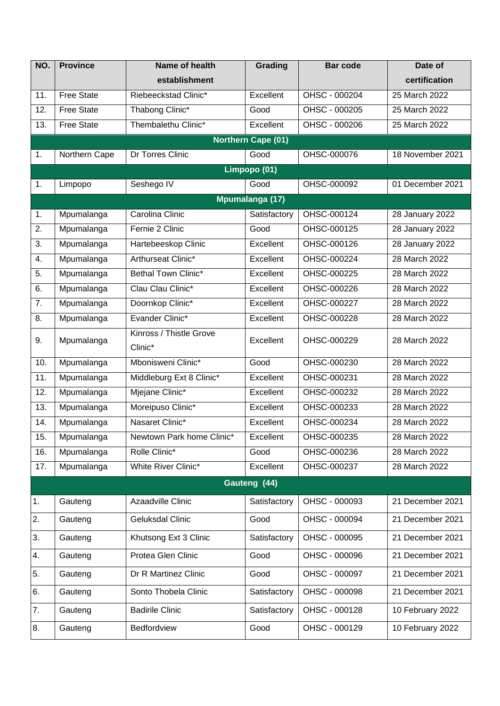| NO. | <b>Province</b>   | Name of health                     | Grading                   | <b>Bar code</b> | Date of          |  |  |
|-----|-------------------|------------------------------------|---------------------------|-----------------|------------------|--|--|
|     |                   | establishment                      |                           |                 | certification    |  |  |
| 11. | <b>Free State</b> | Riebeeckstad Clinic*               | Excellent                 | OHSC - 000204   | 25 March 2022    |  |  |
| 12. | <b>Free State</b> | Thabong Clinic*                    | Good                      | OHSC - 000205   | 25 March 2022    |  |  |
| 13. | <b>Free State</b> | Thembalethu Clinic*                | Excellent                 | OHSC - 000206   | 25 March 2022    |  |  |
|     |                   |                                    | <b>Northern Cape (01)</b> |                 |                  |  |  |
| 1.  | Northern Cape     | Dr Torres Clinic                   | Good                      | OHSC-000076     | 18 November 2021 |  |  |
|     |                   |                                    | Limpopo (01)              |                 |                  |  |  |
| 1.  | Limpopo           | Seshego IV                         | Good                      | OHSC-000092     | 01 December 2021 |  |  |
|     |                   |                                    | Mpumalanga (17)           |                 |                  |  |  |
| 1.  | Mpumalanga        | Carolina Clinic                    | Satisfactory              | OHSC-000124     | 28 January 2022  |  |  |
| 2.  | Mpumalanga        | Fernie 2 Clinic                    | Good                      | OHSC-000125     | 28 January 2022  |  |  |
| 3.  | Mpumalanga        | Hartebeeskop Clinic                | Excellent                 | OHSC-000126     | 28 January 2022  |  |  |
| 4.  | Mpumalanga        | Arthurseat Clinic*                 | Excellent                 | OHSC-000224     | 28 March 2022    |  |  |
| 5.  | Mpumalanga        | Bethal Town Clinic*                | Excellent                 | OHSC-000225     | 28 March 2022    |  |  |
| 6.  | Mpumalanga        | Clau Clau Clinic*                  | Excellent                 | OHSC-000226     | 28 March 2022    |  |  |
| 7.  | Mpumalanga        | Doornkop Clinic*                   | Excellent                 | OHSC-000227     | 28 March 2022    |  |  |
| 8.  | Mpumalanga        | Evander Clinic*                    | Excellent                 | OHSC-000228     | 28 March 2022    |  |  |
| 9.  | Mpumalanga        | Kinross / Thistle Grove<br>Clinic* | Excellent                 | OHSC-000229     | 28 March 2022    |  |  |
| 10. | Mpumalanga        | Mbonisweni Clinic*                 | Good                      | OHSC-000230     | 28 March 2022    |  |  |
| 11. | Mpumalanga        | Middleburg Ext 8 Clinic*           | Excellent                 | OHSC-000231     | 28 March 2022    |  |  |
| 12. | Mpumalanga        | Mjejane Clinic*                    | Excellent                 | OHSC-000232     | 28 March 2022    |  |  |
| 13. | Mpumalanga        | Moreipuso Clinic*                  | Excellent                 | OHSC-000233     | 28 March 2022    |  |  |
| 14. | Mpumalanga        | Nasaret Clinic*                    | Excellent                 | OHSC-000234     | 28 March 2022    |  |  |
| 15. | Mpumalanga        | Newtown Park home Clinic*          | Excellent                 | OHSC-000235     | 28 March 2022    |  |  |
| 16. | Mpumalanga        | Rolle Clinic*                      | Good                      | OHSC-000236     | 28 March 2022    |  |  |
| 17. | Mpumalanga        | <b>White River Clinic*</b>         | Excellent                 | OHSC-000237     | 28 March 2022    |  |  |
|     | Gauteng (44)      |                                    |                           |                 |                  |  |  |
| 1.  | Gauteng           | Azaadville Clinic                  | Satisfactory              | OHSC - 000093   | 21 December 2021 |  |  |
| 2.  | Gauteng           | <b>Geluksdal Clinic</b>            | Good                      | OHSC - 000094   | 21 December 2021 |  |  |
| 3.  | Gauteng           | Khutsong Ext 3 Clinic              | Satisfactory              | OHSC - 000095   | 21 December 2021 |  |  |
| 4.  | Gauteng           | Protea Glen Clinic                 | Good                      | OHSC - 000096   | 21 December 2021 |  |  |
| 5.  | Gauteng           | Dr R Martinez Clinic               | Good                      | OHSC - 000097   | 21 December 2021 |  |  |
| 6.  | Gauteng           | Sonto Thobela Clinic               | Satisfactory              | OHSC - 000098   | 21 December 2021 |  |  |
| 7.  | Gauteng           | <b>Badirile Clinic</b>             | Satisfactory              | OHSC - 000128   | 10 February 2022 |  |  |
| 8.  | Gauteng           | Bedfordview                        | Good                      | OHSC - 000129   | 10 February 2022 |  |  |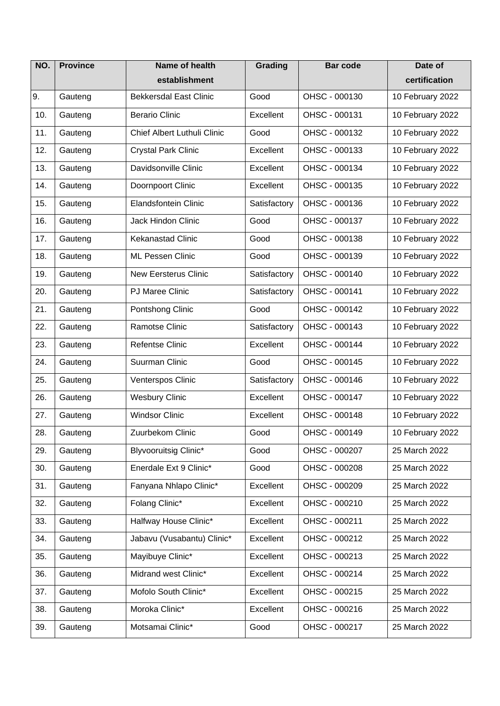| NO. | <b>Province</b> | <b>Name of health</b>         | Grading      | <b>Bar code</b> | Date of          |
|-----|-----------------|-------------------------------|--------------|-----------------|------------------|
|     |                 | establishment                 |              |                 | certification    |
| 9.  | Gauteng         | <b>Bekkersdal East Clinic</b> | Good         | OHSC - 000130   | 10 February 2022 |
| 10. | Gauteng         | <b>Berario Clinic</b>         | Excellent    | OHSC - 000131   | 10 February 2022 |
| 11. | Gauteng         | Chief Albert Luthuli Clinic   | Good         | OHSC - 000132   | 10 February 2022 |
| 12. | Gauteng         | <b>Crystal Park Clinic</b>    | Excellent    | OHSC - 000133   | 10 February 2022 |
| 13. | Gauteng         | Davidsonville Clinic          | Excellent    | OHSC - 000134   | 10 February 2022 |
| 14. | Gauteng         | Doornpoort Clinic             | Excellent    | OHSC - 000135   | 10 February 2022 |
| 15. | Gauteng         | <b>Elandsfontein Clinic</b>   | Satisfactory | OHSC - 000136   | 10 February 2022 |
| 16. | Gauteng         | <b>Jack Hindon Clinic</b>     | Good         | OHSC - 000137   | 10 February 2022 |
| 17. | Gauteng         | <b>Kekanastad Clinic</b>      | Good         | OHSC - 000138   | 10 February 2022 |
| 18. | Gauteng         | <b>ML Pessen Clinic</b>       | Good         | OHSC - 000139   | 10 February 2022 |
| 19. | Gauteng         | <b>New Eersterus Clinic</b>   | Satisfactory | OHSC - 000140   | 10 February 2022 |
| 20. | Gauteng         | <b>PJ Maree Clinic</b>        | Satisfactory | OHSC - 000141   | 10 February 2022 |
| 21. | Gauteng         | Pontshong Clinic              | Good         | OHSC - 000142   | 10 February 2022 |
| 22. | Gauteng         | Ramotse Clinic                | Satisfactory | OHSC - 000143   | 10 February 2022 |
| 23. | Gauteng         | <b>Refentse Clinic</b>        | Excellent    | OHSC - 000144   | 10 February 2022 |
| 24. | Gauteng         | Suurman Clinic                | Good         | OHSC - 000145   | 10 February 2022 |
| 25. | Gauteng         | Venterspos Clinic             | Satisfactory | OHSC - 000146   | 10 February 2022 |
| 26. | Gauteng         | <b>Wesbury Clinic</b>         | Excellent    | OHSC - 000147   | 10 February 2022 |
| 27. | Gauteng         | <b>Windsor Clinic</b>         | Excellent    | OHSC - 000148   | 10 February 2022 |
| 28. | Gauteng         | Zuurbekom Clinic              | Good         | OHSC - 000149   | 10 February 2022 |
| 29. | Gauteng         | Blyvooruitsig Clinic*         | Good         | OHSC - 000207   | 25 March 2022    |
| 30. | Gauteng         | Enerdale Ext 9 Clinic*        | Good         | OHSC - 000208   | 25 March 2022    |
| 31. | Gauteng         | Fanyana Nhlapo Clinic*        | Excellent    | OHSC - 000209   | 25 March 2022    |
| 32. | Gauteng         | Folang Clinic*                | Excellent    | OHSC - 000210   | 25 March 2022    |
| 33. | Gauteng         | Halfway House Clinic*         | Excellent    | OHSC - 000211   | 25 March 2022    |
| 34. | Gauteng         | Jabavu (Vusabantu) Clinic*    | Excellent    | OHSC - 000212   | 25 March 2022    |
| 35. | Gauteng         | Mayibuye Clinic*              | Excellent    | OHSC - 000213   | 25 March 2022    |
| 36. | Gauteng         | Midrand west Clinic*          | Excellent    | OHSC - 000214   | 25 March 2022    |
| 37. | Gauteng         | Mofolo South Clinic*          | Excellent    | OHSC - 000215   | 25 March 2022    |
| 38. | Gauteng         | Moroka Clinic*                | Excellent    | OHSC - 000216   | 25 March 2022    |
| 39. | Gauteng         | Motsamai Clinic*              | Good         | OHSC - 000217   | 25 March 2022    |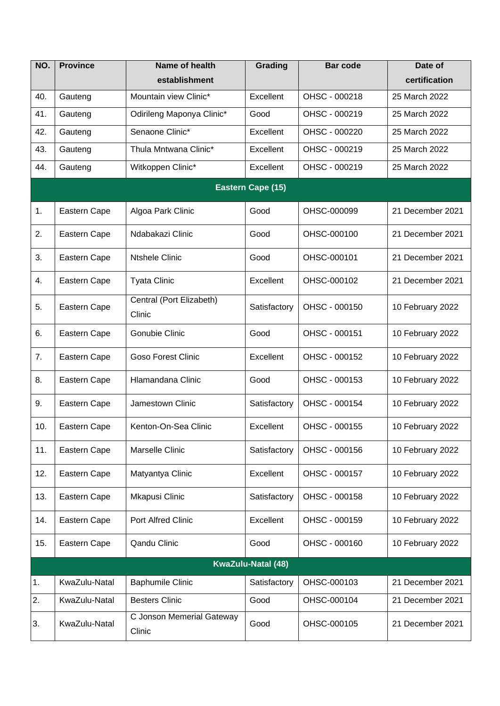| NO. | <b>Province</b>    | Name of health                      | Grading           | <b>Bar code</b> | Date of          |  |
|-----|--------------------|-------------------------------------|-------------------|-----------------|------------------|--|
|     |                    | establishment                       |                   |                 | certification    |  |
| 40. | Gauteng            | Mountain view Clinic*               | Excellent         | OHSC - 000218   | 25 March 2022    |  |
| 41. | Gauteng            | Odirileng Maponya Clinic*           | Good              | OHSC - 000219   | 25 March 2022    |  |
| 42. | Gauteng            | Senaone Clinic*                     | Excellent         | OHSC - 000220   | 25 March 2022    |  |
| 43. | Gauteng            | Thula Mntwana Clinic*               | Excellent         | OHSC - 000219   | 25 March 2022    |  |
| 44. | Gauteng            | Witkoppen Clinic*                   | Excellent         | OHSC - 000219   | 25 March 2022    |  |
|     |                    |                                     | Eastern Cape (15) |                 |                  |  |
| 1.  | Eastern Cape       | Algoa Park Clinic                   | Good              | OHSC-000099     | 21 December 2021 |  |
| 2.  | Eastern Cape       | Ndabakazi Clinic                    | Good              | OHSC-000100     | 21 December 2021 |  |
| 3.  | Eastern Cape       | <b>Ntshele Clinic</b>               | Good              | OHSC-000101     | 21 December 2021 |  |
| 4.  | Eastern Cape       | <b>Tyata Clinic</b>                 | Excellent         | OHSC-000102     | 21 December 2021 |  |
| 5.  | Eastern Cape       | Central (Port Elizabeth)<br>Clinic  | Satisfactory      | OHSC - 000150   | 10 February 2022 |  |
| 6.  | Eastern Cape       | Gonubie Clinic                      | Good              | OHSC - 000151   | 10 February 2022 |  |
| 7.  | Eastern Cape       | <b>Goso Forest Clinic</b>           | Excellent         | OHSC - 000152   | 10 February 2022 |  |
| 8.  | Eastern Cape       | Hlamandana Clinic                   | Good              | OHSC - 000153   | 10 February 2022 |  |
| 9.  | Eastern Cape       | Jamestown Clinic                    | Satisfactory      | OHSC - 000154   | 10 February 2022 |  |
| 10. | Eastern Cape       | Kenton-On-Sea Clinic                | Excellent         | OHSC - 000155   | 10 February 2022 |  |
| 11. | Eastern Cape       | Marselle Clinic                     | Satisfactory      | OHSC - 000156   | 10 February 2022 |  |
| 12. | Eastern Cape       | Matyantya Clinic                    | Excellent         | OHSC - 000157   | 10 February 2022 |  |
| 13. | Eastern Cape       | Mkapusi Clinic                      | Satisfactory      | OHSC - 000158   | 10 February 2022 |  |
| 14. | Eastern Cape       | Port Alfred Clinic                  | Excellent         | OHSC - 000159   | 10 February 2022 |  |
| 15. | Eastern Cape       | Qandu Clinic                        | Good              | OHSC - 000160   | 10 February 2022 |  |
|     | KwaZulu-Natal (48) |                                     |                   |                 |                  |  |
| 1.  | KwaZulu-Natal      | <b>Baphumile Clinic</b>             | Satisfactory      | OHSC-000103     | 21 December 2021 |  |
| 2.  | KwaZulu-Natal      | <b>Besters Clinic</b>               | Good              | OHSC-000104     | 21 December 2021 |  |
| 3.  | KwaZulu-Natal      | C Jonson Memerial Gateway<br>Clinic | Good              | OHSC-000105     | 21 December 2021 |  |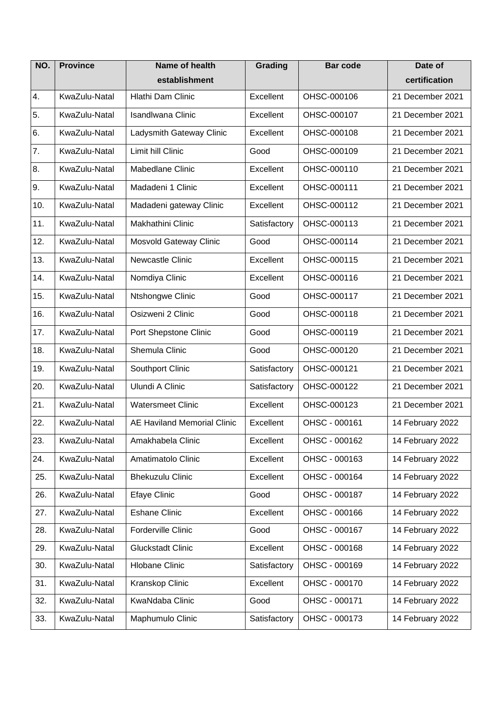| NO.              | <b>Province</b> | Name of health                     | Grading      | <b>Bar code</b> | Date of          |
|------------------|-----------------|------------------------------------|--------------|-----------------|------------------|
|                  |                 | establishment                      |              |                 | certification    |
| $\overline{4}$ . | KwaZulu-Natal   | Hlathi Dam Clinic                  | Excellent    | OHSC-000106     | 21 December 2021 |
| 5.               | KwaZulu-Natal   | <b>Isandlwana Clinic</b>           | Excellent    | OHSC-000107     | 21 December 2021 |
| 6.               | KwaZulu-Natal   | Ladysmith Gateway Clinic           | Excellent    | OHSC-000108     | 21 December 2021 |
| $\overline{7}$ . | KwaZulu-Natal   | Limit hill Clinic                  | Good         | OHSC-000109     | 21 December 2021 |
| 8.               | KwaZulu-Natal   | Mabedlane Clinic                   | Excellent    | OHSC-000110     | 21 December 2021 |
| 9.               | KwaZulu-Natal   | Madadeni 1 Clinic                  | Excellent    | OHSC-000111     | 21 December 2021 |
| 10.              | KwaZulu-Natal   | Madadeni gateway Clinic            | Excellent    | OHSC-000112     | 21 December 2021 |
| 11.              | KwaZulu-Natal   | Makhathini Clinic                  | Satisfactory | OHSC-000113     | 21 December 2021 |
| 12.              | KwaZulu-Natal   | Mosvold Gateway Clinic             | Good         | OHSC-000114     | 21 December 2021 |
| 13.              | KwaZulu-Natal   | <b>Newcastle Clinic</b>            | Excellent    | OHSC-000115     | 21 December 2021 |
| 14.              | KwaZulu-Natal   | Nomdiya Clinic                     | Excellent    | OHSC-000116     | 21 December 2021 |
| 15.              | KwaZulu-Natal   | Ntshongwe Clinic                   | Good         | OHSC-000117     | 21 December 2021 |
| 16.              | KwaZulu-Natal   | Osizweni 2 Clinic                  | Good         | OHSC-000118     | 21 December 2021 |
| 17.              | KwaZulu-Natal   | Port Shepstone Clinic              | Good         | OHSC-000119     | 21 December 2021 |
| 18.              | KwaZulu-Natal   | Shemula Clinic                     | Good         | OHSC-000120     | 21 December 2021 |
| 19.              | KwaZulu-Natal   | Southport Clinic                   | Satisfactory | OHSC-000121     | 21 December 2021 |
| 20.              | KwaZulu-Natal   | Ulundi A Clinic                    | Satisfactory | OHSC-000122     | 21 December 2021 |
| 21.              | KwaZulu-Natal   | <b>Watersmeet Clinic</b>           | Excellent    | OHSC-000123     | 21 December 2021 |
| 22.              | KwaZulu-Natal   | <b>AE Haviland Memorial Clinic</b> | Excellent    | OHSC - 000161   | 14 February 2022 |
| 23.              | KwaZulu-Natal   | Amakhabela Clinic                  | Excellent    | OHSC - 000162   | 14 February 2022 |
| 24.              | KwaZulu-Natal   | Amatimatolo Clinic                 | Excellent    | OHSC - 000163   | 14 February 2022 |
| 25.              | KwaZulu-Natal   | <b>Bhekuzulu Clinic</b>            | Excellent    | OHSC - 000164   | 14 February 2022 |
| 26.              | KwaZulu-Natal   | <b>Efaye Clinic</b>                | Good         | OHSC - 000187   | 14 February 2022 |
| 27.              | KwaZulu-Natal   | <b>Eshane Clinic</b>               | Excellent    | OHSC - 000166   | 14 February 2022 |
| 28.              | KwaZulu-Natal   | Forderville Clinic                 | Good         | OHSC - 000167   | 14 February 2022 |
| 29.              | KwaZulu-Natal   | <b>Gluckstadt Clinic</b>           | Excellent    | OHSC - 000168   | 14 February 2022 |
| 30.              | KwaZulu-Natal   | <b>Hlobane Clinic</b>              | Satisfactory | OHSC - 000169   | 14 February 2022 |
| 31.              | KwaZulu-Natal   | Kranskop Clinic                    | Excellent    | OHSC - 000170   | 14 February 2022 |
| 32.              | KwaZulu-Natal   | KwaNdaba Clinic                    | Good         | OHSC - 000171   | 14 February 2022 |
| 33.              | KwaZulu-Natal   | Maphumulo Clinic                   | Satisfactory | OHSC - 000173   | 14 February 2022 |